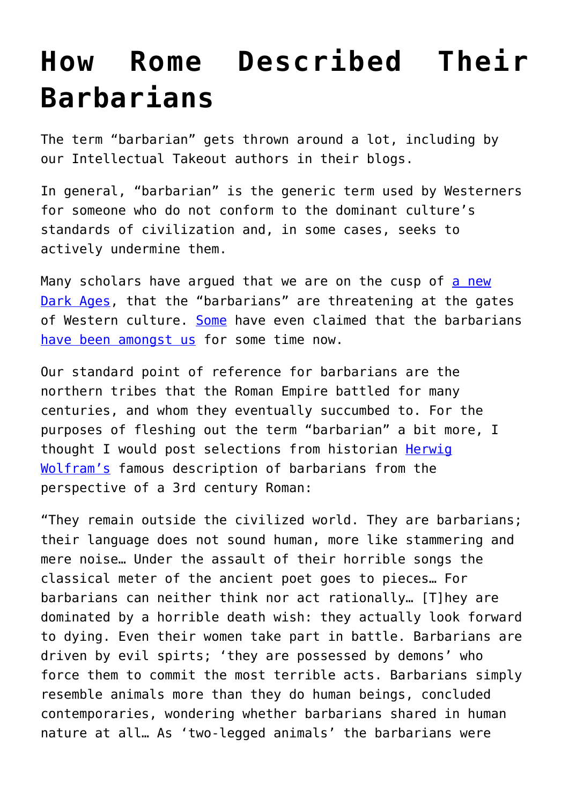## **[How Rome Described Their](https://intellectualtakeout.org/2016/09/how-rome-described-their-barbarians/) [Barbarians](https://intellectualtakeout.org/2016/09/how-rome-described-their-barbarians/)**

The term "barbarian" gets thrown around a lot, including by our Intellectual Takeout authors in their blogs.

In general, "barbarian" is the generic term used by Westerners for someone who do not conform to the dominant culture's standards of civilization and, in some cases, seeks to actively undermine them.

Many scholars have argued that we are on the cusp of [a new](https://www.intellectualtakeout.org/blog/how-dark-age-begins) [Dark Ages,](https://www.intellectualtakeout.org/blog/how-dark-age-begins) that the "barbarians" are threatening at the gates of Western culture. [Some](https://www.intellectualtakeout.org/blog/alasdair-macintyre%E2%80%99s-famous-comparison-between-fall-rome-and-america-today) have even claimed that the barbarians [have been amongst us](https://www.intellectualtakeout.org/blog/barbarians-are-behind-walls) for some time now.

Our standard point of reference for barbarians are the northern tribes that the Roman Empire battled for many centuries, and whom they eventually succumbed to. For the purposes of fleshing out the term "barbarian" a bit more, I thought I would post selections from historian [Herwig](https://books.google.com.au/books?id=xsQxcJvaLjAC&printsec=frontcover&dq=history+of+the+goths+wolfram&hl=en&sa=X&ved=0ahUKEwiR_dfboqbPAhUl2IMKHVipBB0Q6AEIHTAA#v=onepage&q=history%20of%20the%20goths%20wolfram&f=false) [Wolfram's](https://books.google.com.au/books?id=xsQxcJvaLjAC&printsec=frontcover&dq=history+of+the+goths+wolfram&hl=en&sa=X&ved=0ahUKEwiR_dfboqbPAhUl2IMKHVipBB0Q6AEIHTAA#v=onepage&q=history%20of%20the%20goths%20wolfram&f=false) famous description of barbarians from the perspective of a 3rd century Roman:

"They remain outside the civilized world. They are barbarians; their language does not sound human, more like stammering and mere noise… Under the assault of their horrible songs the classical meter of the ancient poet goes to pieces… For barbarians can neither think nor act rationally… [T]hey are dominated by a horrible death wish: they actually look forward to dying. Even their women take part in battle. Barbarians are driven by evil spirts; 'they are possessed by demons' who force them to commit the most terrible acts. Barbarians simply resemble animals more than they do human beings, concluded contemporaries, wondering whether barbarians shared in human nature at all… As 'two-legged animals' the barbarians were